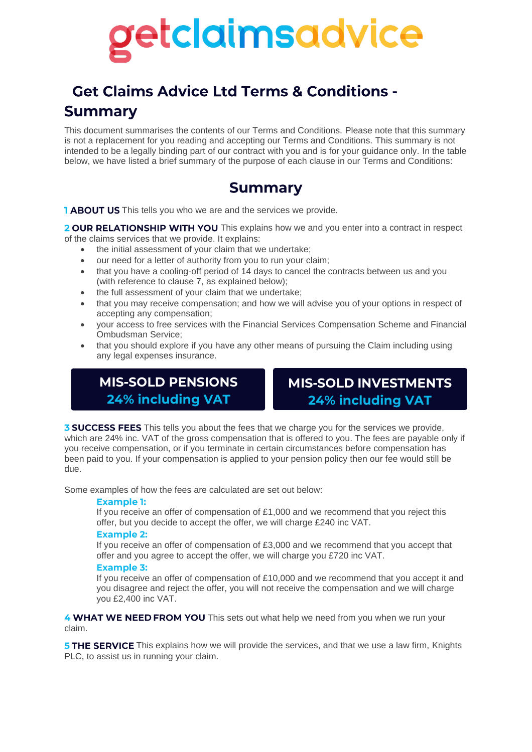# etclaimsadvice

## **Get Claims Advice Ltd Terms & Conditions -Summary**

This document summarises the contents of our Terms and Conditions. Please note that this summary is not a replacement for you reading and accepting our Terms and Conditions. This summary is not intended to be a legally binding part of our contract with you and is for your guidance only. In the table below, we have listed a brief summary of the purpose of each clause in our Terms and Conditions:

## **Summary**

**TABOUT US** This tells you who we are and the services we provide.

2 OUR RELATIONSHIP WITH YOU This explains how we and you enter into a contract in respect of the claims services that we provide. It explains:

- the initial assessment of your claim that we undertake;
- our need for a letter of authority from you to run your claim;
- that you have a cooling-off period of 14 days to cancel the contracts between us and you (with reference to clause 7, as explained below);
- the full assessment of your claim that we undertake;
- that you may receive compensation; and how we will advise you of your options in respect of accepting any compensation;
- your access to free services with the Financial Services Compensation Scheme and Financial Ombudsman Service;
- that you should explore if you have any other means of pursuing the Claim including using any legal expenses insurance.

### **MIS-SOLD PENSIONS 24% including VAT**

## **MIS-SOLD INVESTMENTS 24% including VAT**

**3 SUCCESS FEES** This tells you about the fees that we charge you for the services we provide, which are 24% inc. VAT of the gross compensation that is offered to you. The fees are payable only if you receive compensation, or if you terminate in certain circumstances before compensation has been paid to you. If your compensation is applied to your pension policy then our fee would still be due.

Some examples of how the fees are calculated are set out below:

#### **Example 1:**

If you receive an offer of compensation of £1,000 and we recommend that you reject this offer, but you decide to accept the offer, we will charge £240 inc VAT.

#### **Example 2:**

If you receive an offer of compensation of  $£3,000$  and we recommend that you accept that offer and you agree to accept the offer, we will charge you £720 inc VAT.

#### **Example 3:**

If you receive an offer of compensation of £10,000 and we recommend that you accept it and you disagree and reject the offer, you will not receive the compensation and we will charge you £2,400 inc VAT.

4 WHAT WE NEED FROM YOU This sets out what help we need from you when we run your claim.

5 THE SERVICE This explains how we will provide the services, and that we use a law firm, Knights PLC, to assist us in running your claim.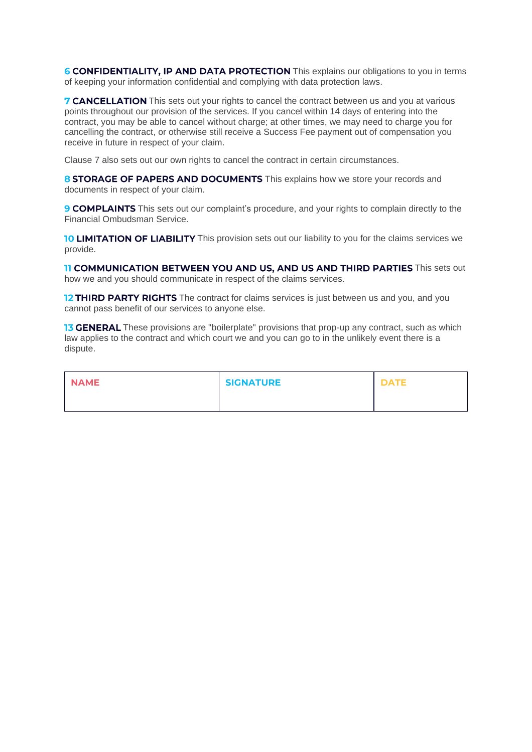6 CONFIDENTIALITY, IP AND DATA PROTECTION This explains our obligations to you in terms of keeping your information confidential and complying with data protection laws.

**7 CANCELLATION** This sets out your rights to cancel the contract between us and you at various points throughout our provision of the services. If you cancel within 14 days of entering into the contract, you may be able to cancel without charge; at other times, we may need to charge you for cancelling the contract, or otherwise still receive a Success Fee payment out of compensation you receive in future in respect of your claim.

Clause 7 also sets out our own rights to cancel the contract in certain circumstances.

8 STORAGE OF PAPERS AND DOCUMENTS This explains how we store your records and documents in respect of your claim.

9 COMPLAINTS This sets out our complaint's procedure, and your rights to complain directly to the Financial Ombudsman Service.

**10 LIMITATION OF LIABILITY** This provision sets out our liability to you for the claims services we provide.

**11 COMMUNICATION BETWEEN YOU AND US, AND US AND THIRD PARTIES** This sets out how we and you should communicate in respect of the claims services.

12 THIRD PARTY RIGHTS The contract for claims services is just between us and you, and you cannot pass benefit of our services to anyone else.

**13 GENERAL** These provisions are "boilerplate" provisions that prop-up any contract, such as which law applies to the contract and which court we and you can go to in the unlikely event there is a dispute.

| <b>NAME</b> | <b>SIGNATURE</b> | <b>DATE</b> |
|-------------|------------------|-------------|
|             |                  |             |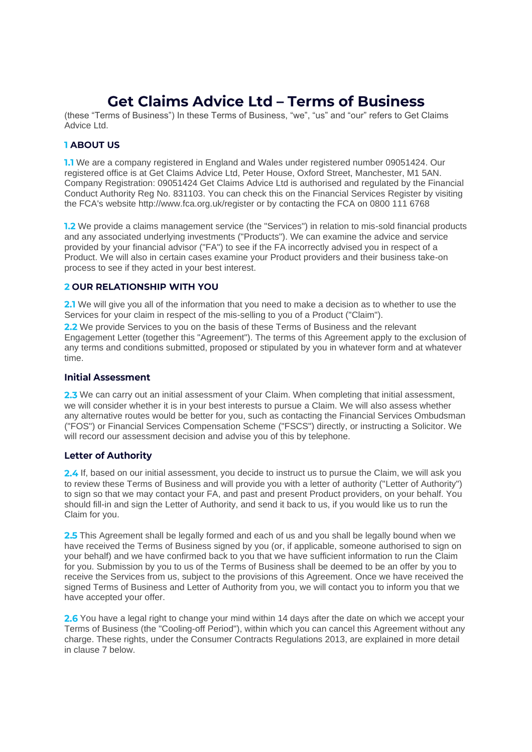## **Get Claims Advice Ltd - Terms of Business**

(these "Terms of Business") In these Terms of Business, "we", "us" and "our" refers to Get Claims Advice Ltd.

#### **1 ABOUT US**

**1.1** We are a company registered in England and Wales under registered number 09051424. Our registered office is at Get Claims Advice Ltd, Peter House, Oxford Street, Manchester, M1 5AN. Company Registration: 09051424 Get Claims Advice Ltd is authorised and regulated by the Financial Conduct Authority Reg No. 831103. You can check this on the Financial Services Register by visiting the FCA's website http://www.fca.org.uk/register or by contacting the FCA on 0800 111 6768

**1.2** We provide a claims management service (the "Services") in relation to mis-sold financial products and any associated underlying investments ("Products"). We can examine the advice and service provided by your financial advisor ("FA") to see if the FA incorrectly advised you in respect of a Product. We will also in certain cases examine your Product providers and their business take-on process to see if they acted in your best interest.

#### **2 OUR RELATIONSHIP WITH YOU**

2.1 We will give you all of the information that you need to make a decision as to whether to use the Services for your claim in respect of the mis-selling to you of a Product ("Claim").

2.2 We provide Services to you on the basis of these Terms of Business and the relevant Engagement Letter (together this "Agreement"). The terms of this Agreement apply to the exclusion of any terms and conditions submitted, proposed or stipulated by you in whatever form and at whatever time.

#### **Initial Assessment**

2.3 We can carry out an initial assessment of your Claim. When completing that initial assessment, we will consider whether it is in your best interests to pursue a Claim. We will also assess whether any alternative routes would be better for you, such as contacting the Financial Services Ombudsman ("FOS") or Financial Services Compensation Scheme ("FSCS") directly, or instructing a Solicitor. We will record our assessment decision and advise you of this by telephone.

#### **Letter of Authority**

2.4 If, based on our initial assessment, you decide to instruct us to pursue the Claim, we will ask you to review these Terms of Business and will provide you with a letter of authority ("Letter of Authority") to sign so that we may contact your FA, and past and present Product providers, on your behalf. You should fill-in and sign the Letter of Authority, and send it back to us, if you would like us to run the Claim for you.

2.5 This Agreement shall be legally formed and each of us and you shall be legally bound when we have received the Terms of Business signed by you (or, if applicable, someone authorised to sign on your behalf) and we have confirmed back to you that we have sufficient information to run the Claim for you. Submission by you to us of the Terms of Business shall be deemed to be an offer by you to receive the Services from us, subject to the provisions of this Agreement. Once we have received the signed Terms of Business and Letter of Authority from you, we will contact you to inform you that we have accepted your offer.

2.6 You have a legal right to change your mind within 14 days after the date on which we accept your Terms of Business (the "Cooling-off Period"), within which you can cancel this Agreement without any charge. These rights, under the Consumer Contracts Regulations 2013, are explained in more detail in clause 7 below.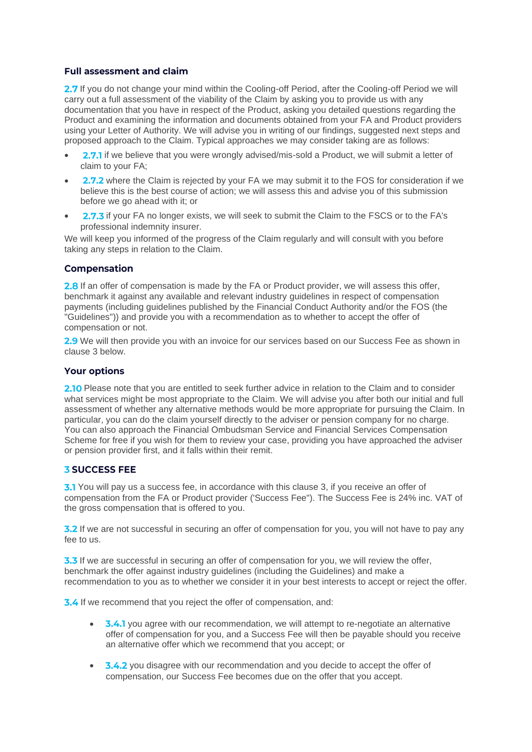#### **Full assessment and claim**

2.7 If you do not change your mind within the Cooling-off Period, after the Cooling-off Period we will carry out a full assessment of the viability of the Claim by asking you to provide us with any documentation that you have in respect of the Product, asking you detailed questions regarding the Product and examining the information and documents obtained from your FA and Product providers using your Letter of Authority. We will advise you in writing of our findings, suggested next steps and proposed approach to the Claim. Typical approaches we may consider taking are as follows:

- 2.7.1 if we believe that you were wrongly advised/mis-sold a Product, we will submit a letter of claim to your FA;
- 2.7.2 where the Claim is rejected by your FA we may submit it to the FOS for consideration if we believe this is the best course of action; we will assess this and advise you of this submission before we go ahead with it; or
- 2.7.3 if your FA no longer exists, we will seek to submit the Claim to the FSCS or to the FA's professional indemnity insurer.

We will keep you informed of the progress of the Claim regularly and will consult with you before taking any steps in relation to the Claim.

#### **Compensation**

2.8 If an offer of compensation is made by the FA or Product provider, we will assess this offer, benchmark it against any available and relevant industry guidelines in respect of compensation payments (including guidelines published by the Financial Conduct Authority and/or the FOS (the "Guidelines")) and provide you with a recommendation as to whether to accept the offer of compensation or not.

2.9 We will then provide you with an invoice for our services based on our Success Fee as shown in clause 3 below.

#### **Your options**

2.10 Please note that you are entitled to seek further advice in relation to the Claim and to consider what services might be most appropriate to the Claim. We will advise you after both our initial and full assessment of whether any alternative methods would be more appropriate for pursuing the Claim. In particular, you can do the claim yourself directly to the adviser or pension company for no charge. You can also approach the Financial Ombudsman Service and Financial Services Compensation Scheme for free if you wish for them to review your case, providing you have approached the adviser or pension provider first, and it falls within their remit.

#### **3 SUCCESS FEE**

3.1 You will pay us a success fee, in accordance with this clause 3, if you receive an offer of compensation from the FA or Product provider ('Success Fee"). The Success Fee is 24% inc. VAT of the gross compensation that is offered to you.

**3.2** If we are not successful in securing an offer of compensation for you, you will not have to pay any fee to us.

**3.3** If we are successful in securing an offer of compensation for you, we will review the offer, benchmark the offer against industry guidelines (including the Guidelines) and make a recommendation to you as to whether we consider it in your best interests to accept or reject the offer.

3.4 If we recommend that you reject the offer of compensation, and:

- 3.4.1 you agree with our recommendation, we will attempt to re-negotiate an alternative offer of compensation for you, and a Success Fee will then be payable should you receive an alternative offer which we recommend that you accept; or
- 3.4.2 you disagree with our recommendation and you decide to accept the offer of compensation, our Success Fee becomes due on the offer that you accept.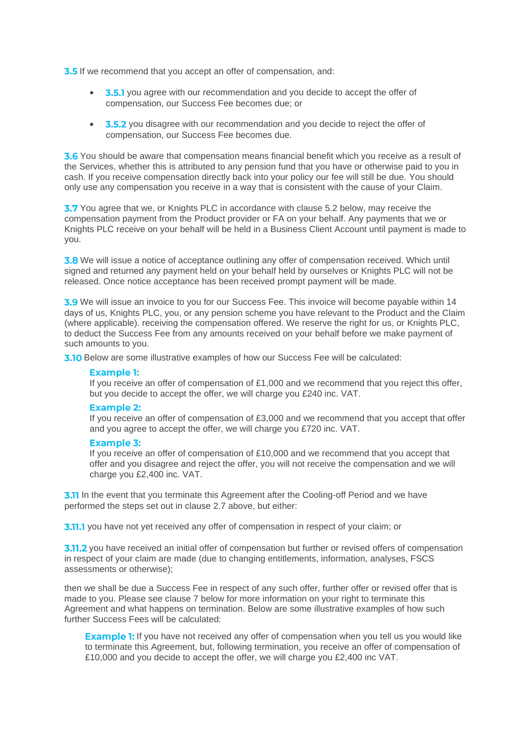**3.5** If we recommend that you accept an offer of compensation, and:

- 3.5.1 you agree with our recommendation and you decide to accept the offer of compensation, our Success Fee becomes due; or
- 3.5.2 you disagree with our recommendation and you decide to reject the offer of compensation, our Success Fee becomes due.

3.6 You should be aware that compensation means financial benefit which you receive as a result of the Services, whether this is attributed to any pension fund that you have or otherwise paid to you in cash. If you receive compensation directly back into your policy our fee will still be due. You should only use any compensation you receive in a way that is consistent with the cause of your Claim.

**3.7** You agree that we, or Knights PLC in accordance with clause 5.2 below, may receive the compensation payment from the Product provider or FA on your behalf. Any payments that we or Knights PLC receive on your behalf will be held in a Business Client Account until payment is made to you.

3.8 We will issue a notice of acceptance outlining any offer of compensation received. Which until signed and returned any payment held on your behalf held by ourselves or Knights PLC will not be released. Once notice acceptance has been received prompt payment will be made.

**3.9** We will issue an invoice to you for our Success Fee. This invoice will become payable within 14 days of us, Knights PLC, you, or any pension scheme you have relevant to the Product and the Claim (where applicable). receiving the compensation offered. We reserve the right for us, or Knights PLC, to deduct the Success Fee from any amounts received on your behalf before we make payment of such amounts to you.

3.10 Below are some illustrative examples of how our Success Fee will be calculated:

#### **Example 1:**

If you receive an offer of compensation of  $£1,000$  and we recommend that you reject this offer, but you decide to accept the offer, we will charge you £240 inc. VAT.

#### **Example 2:**

If you receive an offer of compensation of £3,000 and we recommend that you accept that offer and you agree to accept the offer, we will charge you £720 inc. VAT.

#### **Example 3:**

If you receive an offer of compensation of £10,000 and we recommend that you accept that offer and you disagree and reject the offer, you will not receive the compensation and we will charge you £2,400 inc. VAT.

**3.11** In the event that you terminate this Agreement after the Cooling-off Period and we have performed the steps set out in clause 2.7 above, but either:

**3.11.1** you have not yet received any offer of compensation in respect of your claim; or

3.11.2 you have received an initial offer of compensation but further or revised offers of compensation in respect of your claim are made (due to changing entitlements, information, analyses, FSCS assessments or otherwise);

then we shall be due a Success Fee in respect of any such offer, further offer or revised offer that is made to you. Please see clause 7 below for more information on your right to terminate this Agreement and what happens on termination. Below are some illustrative examples of how such further Success Fees will be calculated:

**Example 1:** If you have not received any offer of compensation when you tell us you would like to terminate this Agreement, but, following termination, you receive an offer of compensation of £10,000 and you decide to accept the offer, we will charge you £2,400 inc VAT.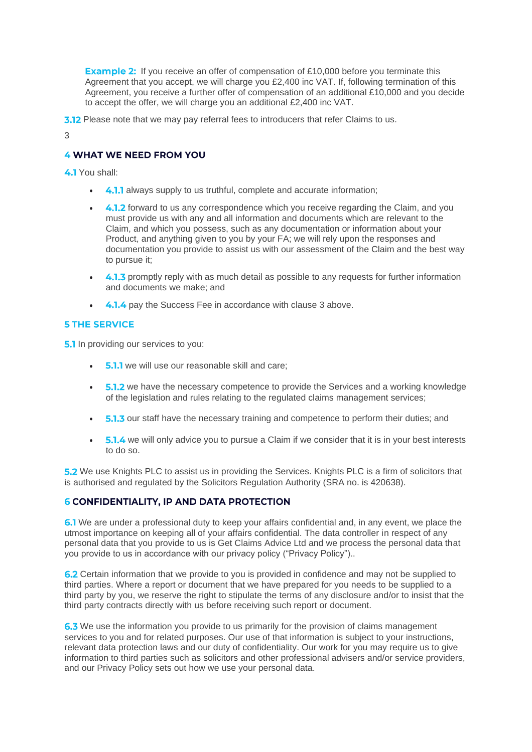**Example 2:** If you receive an offer of compensation of £10,000 before you terminate this Agreement that you accept, we will charge you £2,400 inc VAT. If, following termination of this Agreement, you receive a further offer of compensation of an additional £10,000 and you decide to accept the offer, we will charge you an additional £2,400 inc VAT.

**3.12** Please note that we may pay referral fees to introducers that refer Claims to us.

3

#### **4 WHAT WE NEED FROM YOU**

4.1 You shall:

- 4.1.1 always supply to us truthful, complete and accurate information;
- 4.1.2 forward to us any correspondence which you receive regarding the Claim, and you must provide us with any and all information and documents which are relevant to the Claim, and which you possess, such as any documentation or information about your Product, and anything given to you by your FA; we will rely upon the responses and documentation you provide to assist us with our assessment of the Claim and the best way to pursue it;
- 4.1.3 promptly reply with as much detail as possible to any requests for further information and documents we make; and
- 4.1.4 pay the Success Fee in accordance with clause 3 above.

#### **5 THE SERVICE**

**5.1** In providing our services to you:

- **5.1.1** we will use our reasonable skill and care;
- 5.1.2 we have the necessary competence to provide the Services and a working knowledge of the legislation and rules relating to the regulated claims management services;
- 5.1.3 our staff have the necessary training and competence to perform their duties; and
- 5.1.4 we will only advice you to pursue a Claim if we consider that it is in your best interests to do so.

**5.2** We use Knights PLC to assist us in providing the Services. Knights PLC is a firm of solicitors that is authorised and regulated by the Solicitors Regulation Authority (SRA no. is 420638).

#### **6 CONFIDENTIALITY, IP AND DATA PROTECTION**

6.1 We are under a professional duty to keep your affairs confidential and, in any event, we place the utmost importance on keeping all of your affairs confidential. The data controller in respect of any personal data that you provide to us is Get Claims Advice Ltd and we process the personal data that you provide to us in accordance with our privacy policy ("Privacy Policy")..

6.2 Certain information that we provide to you is provided in confidence and may not be supplied to third parties. Where a report or document that we have prepared for you needs to be supplied to a third party by you, we reserve the right to stipulate the terms of any disclosure and/or to insist that the third party contracts directly with us before receiving such report or document.

**6.3** We use the information you provide to us primarily for the provision of claims management services to you and for related purposes. Our use of that information is subject to your instructions, relevant data protection laws and our duty of confidentiality. Our work for you may require us to give information to third parties such as solicitors and other professional advisers and/or service providers, and our Privacy Policy sets out how we use your personal data.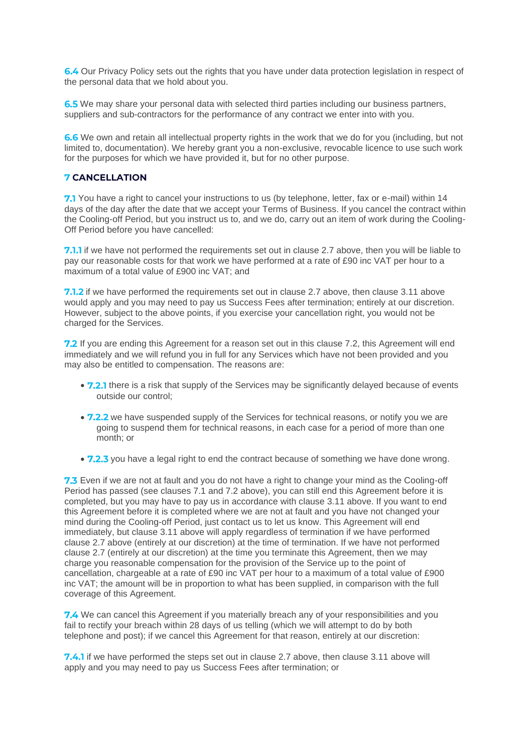6.4 Our Privacy Policy sets out the rights that you have under data protection legislation in respect of the personal data that we hold about you.

6.5 We may share your personal data with selected third parties including our business partners, suppliers and sub-contractors for the performance of any contract we enter into with you.

6.6 We own and retain all intellectual property rights in the work that we do for you (including, but not limited to, documentation). We hereby grant you a non-exclusive, revocable licence to use such work for the purposes for which we have provided it, but for no other purpose.

#### **7 CANCELLATION**

7.1 You have a right to cancel your instructions to us (by telephone, letter, fax or e-mail) within 14 days of the day after the date that we accept your Terms of Business. If you cancel the contract within the Cooling-off Period, but you instruct us to, and we do, carry out an item of work during the Cooling-Off Period before you have cancelled:

7.1.1 if we have not performed the requirements set out in clause 2.7 above, then you will be liable to pay our reasonable costs for that work we have performed at a rate of £90 inc VAT per hour to a maximum of a total value of £900 inc VAT; and

7.1.2 if we have performed the requirements set out in clause 2.7 above, then clause 3.11 above would apply and you may need to pay us Success Fees after termination; entirely at our discretion. However, subject to the above points, if you exercise your cancellation right, you would not be charged for the Services.

**7.2** If you are ending this Agreement for a reason set out in this clause 7.2, this Agreement will end immediately and we will refund you in full for any Services which have not been provided and you may also be entitled to compensation. The reasons are:

- 7.2.1 there is a risk that supply of the Services may be significantly delayed because of events outside our control;
- 7.2.2 we have suspended supply of the Services for technical reasons, or notify you we are going to suspend them for technical reasons, in each case for a period of more than one month; or
- 7.2.3 you have a legal right to end the contract because of something we have done wrong.

**7.3** Even if we are not at fault and you do not have a right to change your mind as the Cooling-off Period has passed (see clauses 7.1 and 7.2 above), you can still end this Agreement before it is completed, but you may have to pay us in accordance with clause 3.11 above. If you want to end this Agreement before it is completed where we are not at fault and you have not changed your mind during the Cooling-off Period, just contact us to let us know. This Agreement will end immediately, but clause 3.11 above will apply regardless of termination if we have performed clause 2.7 above (entirely at our discretion) at the time of termination. If we have not performed clause 2.7 (entirely at our discretion) at the time you terminate this Agreement, then we may charge you reasonable compensation for the provision of the Service up to the point of cancellation, chargeable at a rate of £90 inc VAT per hour to a maximum of a total value of £900 inc VAT; the amount will be in proportion to what has been supplied, in comparison with the full coverage of this Agreement.

7.4 We can cancel this Agreement if you materially breach any of your responsibilities and you fail to rectify your breach within 28 days of us telling (which we will attempt to do by both telephone and post); if we cancel this Agreement for that reason, entirely at our discretion:

**7.4.1** if we have performed the steps set out in clause 2.7 above, then clause 3.11 above will apply and you may need to pay us Success Fees after termination; or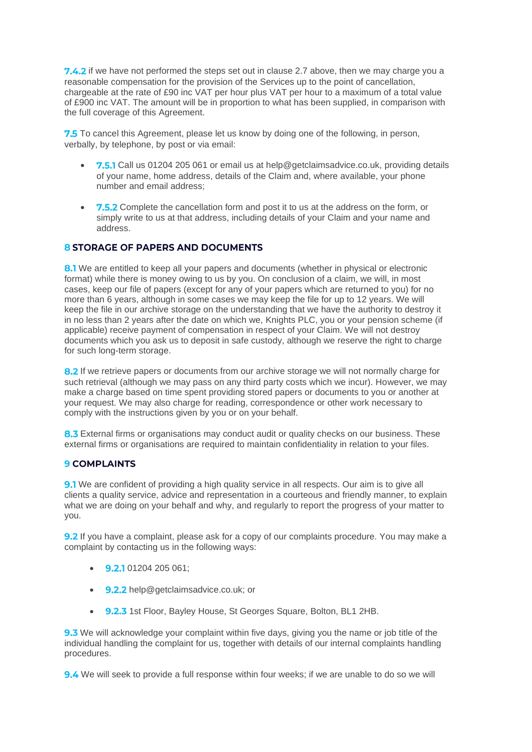7.4.2 if we have not performed the steps set out in clause 2.7 above, then we may charge you a reasonable compensation for the provision of the Services up to the point of cancellation, chargeable at the rate of £90 inc VAT per hour plus VAT per hour to a maximum of a total value of £900 inc VAT. The amount will be in proportion to what has been supplied, in comparison with the full coverage of this Agreement.

7.5 To cancel this Agreement, please let us know by doing one of the following, in person, verbally, by telephone, by post or via email:

- 7.5.1 Call us 01204 205 061 or email us at [help@getclaimsadvice.co.uk, p](mailto:help@getclaimsadvice.co.uk)roviding details of your name, home address, details of the Claim and, where available, your phone number and email address;
- 7.5.2 Complete the cancellation form and post it to us at the address on the form, or simply write to us at that address, including details of your Claim and your name and address.

#### **8 STORAGE OF PAPERS AND DOCUMENTS**

8.1 We are entitled to keep all your papers and documents (whether in physical or electronic format) while there is money owing to us by you. On conclusion of a claim, we will, in most cases, keep our file of papers (except for any of your papers which are returned to you) for no more than 6 years, although in some cases we may keep the file for up to 12 years. We will keep the file in our archive storage on the understanding that we have the authority to destroy it in no less than 2 years after the date on which we, Knights PLC, you or your pension scheme (if applicable) receive payment of compensation in respect of your Claim. We will not destroy documents which you ask us to deposit in safe custody, although we reserve the right to charge for such long-term storage.

8.2 If we retrieve papers or documents from our archive storage we will not normally charge for such retrieval (although we may pass on any third party costs which we incur). However, we may make a charge based on time spent providing stored papers or documents to you or another at your request. We may also charge for reading, correspondence or other work necessary to comply with the instructions given by you or on your behalf.

8.3 External firms or organisations may conduct audit or quality checks on our business. These external firms or organisations are required to maintain confidentiality in relation to your files.

#### **9 COMPLAINTS**

**9.1** We are confident of providing a high quality service in all respects. Our aim is to give all clients a quality service, advice and representation in a courteous and friendly manner, to explain what we are doing on your behalf and why, and regularly to report the progress of your matter to you.

**9.2** If you have a complaint, please ask for a copy of our complaints procedure. You may make a complaint by contacting us in the following ways:

- $\bullet$  9.2.1 01204 205 061;
- 9.2.2 help@getclaimsadvice.co.uk; or
- 9.2.3 1st Floor, Bayley House, St Georges Square, Bolton, BL1 2HB.

**9.3** We will acknowledge your complaint within five days, giving you the name or job title of the individual handling the complaint for us, together with details of our internal complaints handling procedures.

**9.4** We will seek to provide a full response within four weeks; if we are unable to do so we will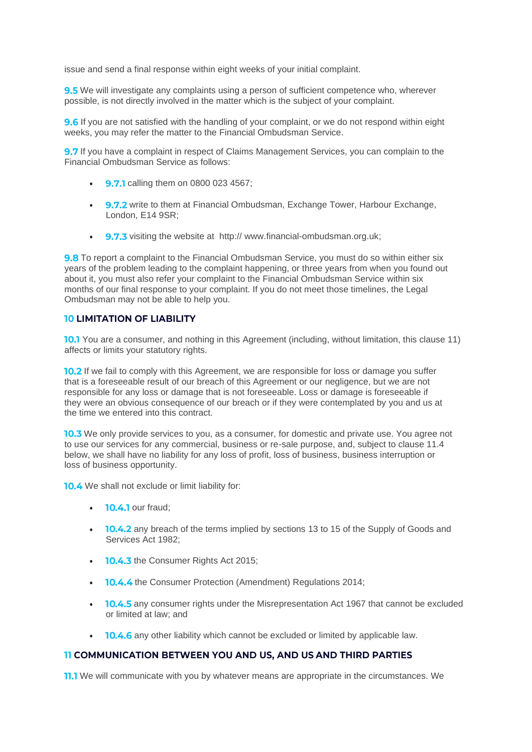issue and send a final response within eight weeks of your initial complaint.

**9.5** We will investigate any complaints using a person of sufficient competence who, wherever possible, is not directly involved in the matter which is the subject of your complaint.

**9.6** If you are not satisfied with the handling of your complaint, or we do not respond within eight weeks, you may refer the matter to the Financial Ombudsman Service.

9.7 If you have a complaint in respect of Claims Management Services, you can complain to the Financial Ombudsman Service as follows:

- **9.7.1** calling them on 0800 023 4567:
- **9.7.2** write to them at Financial Ombudsman, Exchange Tower, Harbour Exchange, London, E14 9SR;
- 9.7.3 visiting the website at http:// [www.financial-ombudsman.org.uk;](http://www.legalombudsman.org.uk/helping-the-public/%3B)

**9.8** To report a complaint to the Financial Ombudsman Service, you must do so within either six years of the problem leading to the complaint happening, or three years from when you found out about it, you must also refer your complaint to the Financial Ombudsman Service within six months of our final response to your complaint. If you do not meet those timelines, the Legal Ombudsman may not be able to help you.

#### **10 LIMITATION OF LIABILITY**

10.1 You are a consumer, and nothing in this Agreement (including, without limitation, this clause 11) affects or limits your statutory rights.

**10.2** If we fail to comply with this Agreement, we are responsible for loss or damage you suffer that is a foreseeable result of our breach of this Agreement or our negligence, but we are not responsible for any loss or damage that is not foreseeable. Loss or damage is foreseeable if they were an obvious consequence of our breach or if they were contemplated by you and us at the time we entered into this contract.

**10.3** We only provide services to you, as a consumer, for domestic and private use. You agree not to use our services for any commercial, business or re-sale purpose, and, subject to clause 11.4 below, we shall have no liability for any loss of profit, loss of business, business interruption or loss of business opportunity.

10.4 We shall not exclude or limit liability for:

- $\cdot$  **10.4.1** our fraud;
- **10.4.2** any breach of the terms implied by sections 13 to 15 of the Supply of Goods and Services Act 1982;
- **10.4.3** the Consumer Rights Act 2015;
- **10.4.4** the Consumer Protection (Amendment) Regulations 2014;
- **10.4.5** any consumer rights under the Misrepresentation Act 1967 that cannot be excluded or limited at law; and
- **10.4.6** any other liability which cannot be excluded or limited by applicable law.

#### **11 COMMUNICATION BETWEEN YOU AND US, AND US AND THIRD PARTIES**

**11.1** We will communicate with you by whatever means are appropriate in the circumstances. We